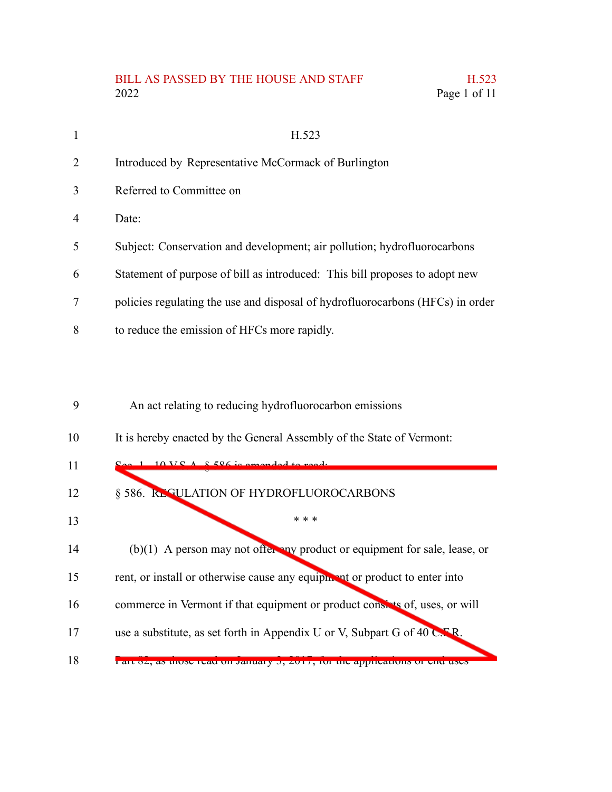## BILL AS PASSED BY THE HOUSE AND STAFF H.523 2022 Page 1 of 11

| 1  | H.523                                                                          |
|----|--------------------------------------------------------------------------------|
| 2  | Introduced by Representative McCormack of Burlington                           |
| 3  | Referred to Committee on                                                       |
| 4  | Date:                                                                          |
| 5  | Subject: Conservation and development; air pollution; hydrofluorocarbons       |
| 6  | Statement of purpose of bill as introduced: This bill proposes to adopt new    |
| 7  | policies regulating the use and disposal of hydrofluorocarbons (HFCs) in order |
| 8  | to reduce the emission of HFCs more rapidly.                                   |
|    |                                                                                |
|    |                                                                                |
| 9  | An act relating to reducing hydrofluorocarbon emissions                        |
| 10 | It is hereby enacted by the General Assembly of the State of Vermont:          |
| 11 |                                                                                |
| 12 | § 586. REGULATION OF HYDROFLUOROCARBONS                                        |
| 13 | * * *                                                                          |
| 14 | $(b)(1)$ A person may not offer any product or equipment for sale, lease, or   |
|    |                                                                                |

- rent, or install or otherwise cause any equipment or product to enter into 15
- commerce in Vermont if that equipment or product consists of, uses, or will 16
- use a substitute, as set forth in Appendix U or V, Subpart G of 40 C.F.R. 17
- Part 82, as those read on January 3, 2017, for the applications or end uses 18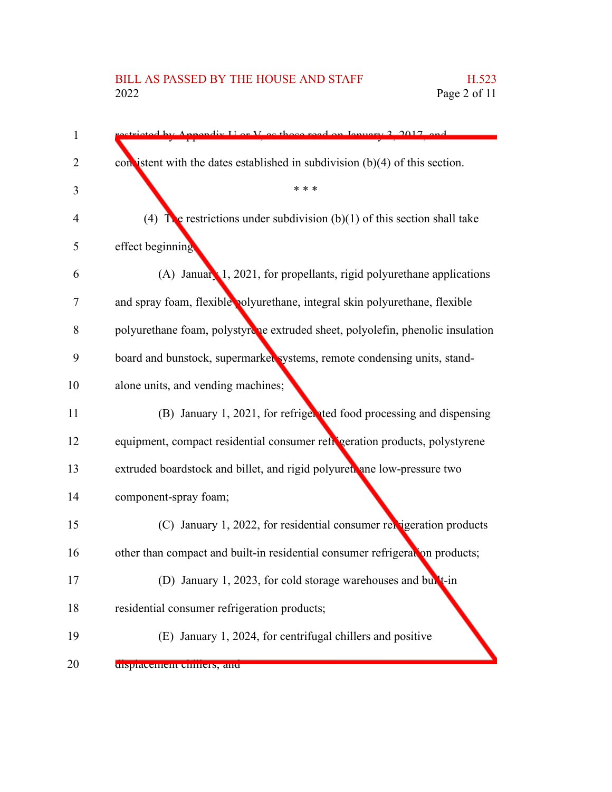## BILL AS PASSED BY THE HOUSE AND STAFF H.523<br>2022 Page 2 of 11

| $\mathbf{1}$ | mendix I or V as those read on January 2 2017 and                              |
|--------------|--------------------------------------------------------------------------------|
| 2            | con istent with the dates established in subdivision $(b)(4)$ of this section. |
| 3            | * * *                                                                          |
| 4            | (4) The restrictions under subdivision (b)(1) of this section shall take       |
| 5            | effect beginning                                                               |
| 6            | $(A)$ January 1, 2021, for propellants, rigid polyurethane applications        |
| 7            | and spray foam, flexible polyurethane, integral skin polyurethane, flexible    |
| 8            | polyurethane foam, polystyrche extruded sheet, polyolefin, phenolic insulation |
| 9            | board and bunstock, supermarked systems, remote condensing units, stand-       |
| 10           | alone units, and vending machines;                                             |
| 11           | (B) January 1, 2021, for refrigented food processing and dispensing            |
| 12           | equipment, compact residential consumer refigeration products, polystyrene     |
| 13           | extruded boardstock and billet, and rigid polyuret ane low-pressure two        |
| 14           | component-spray foam;                                                          |
| 15           | (C) January 1, 2022, for residential consumer relatigeration products          |
| 16           | other than compact and built-in residential consumer refrigeration products;   |
| 17           | (D) January 1, 2023, for cold storage warehouses and bullt-in                  |
| 18           | residential consumer refrigeration products;                                   |
| 19           | (E) January 1, 2024, for centrifugal chillers and positive                     |
| 20           | urspracement cumers, and                                                       |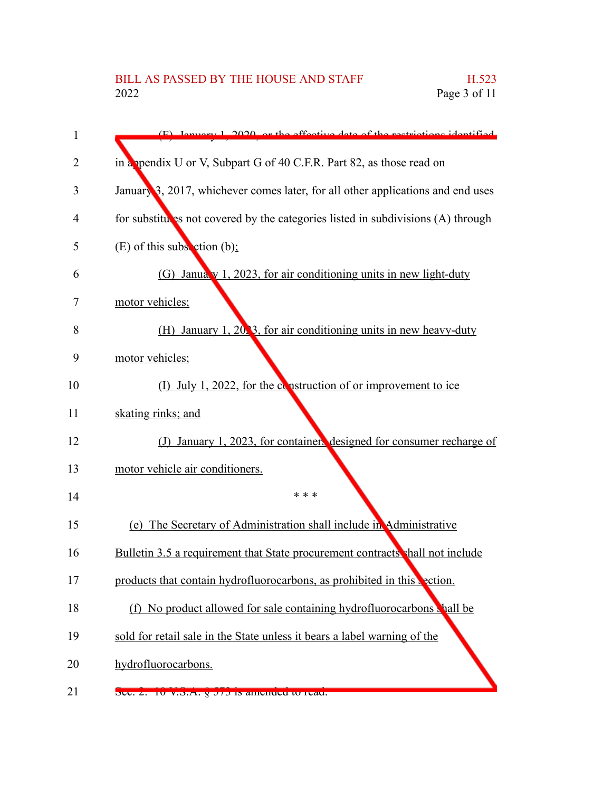| 1  | (F) Ignuary 1, 2020, or the effective date of the restrictions identified        |
|----|----------------------------------------------------------------------------------|
| 2  | in a ppendix U or V, Subpart G of 40 C.F.R. Part 82, as those read on            |
| 3  | January 3, 2017, whichever comes later, for all other applications and end uses  |
| 4  | for substitutes not covered by the categories listed in subdivisions (A) through |
| 5  | (E) of this subsection $(b)$ ;                                                   |
| 6  | (G) January 1, 2023, for air conditioning units in new light-duty                |
| 7  | motor vehicles;                                                                  |
| 8  | (H) January 1, 2023, for air conditioning units in new heavy-duty                |
| 9  | motor vehicles;                                                                  |
| 10 | (I) July 1, 2022, for the construction of or improvement to ice                  |
| 11 | skating rinks; and                                                               |
| 12 | (J) January 1, 2023, for containers designed for consumer recharge of            |
| 13 | motor vehicle air conditioners.                                                  |
| 14 | * * *                                                                            |
| 15 | (e) The Secretary of Administration shall include in Administrative              |
| 16 | Bulletin 3.5 a requirement that State procurement contracts shall not include    |
| 17 | products that contain hydrofluorocarbons, as prohibited in this vection.         |
| 18 | (f) No product allowed for sale containing hydrofluorocarbons shall be           |
| 19 | sold for retail sale in the State unless it bears a label warning of the         |
| 20 | hydrofluorocarbons.                                                              |
|    |                                                                                  |

Sec. 2. 10 V.S.A. § 573 is amended to read. 21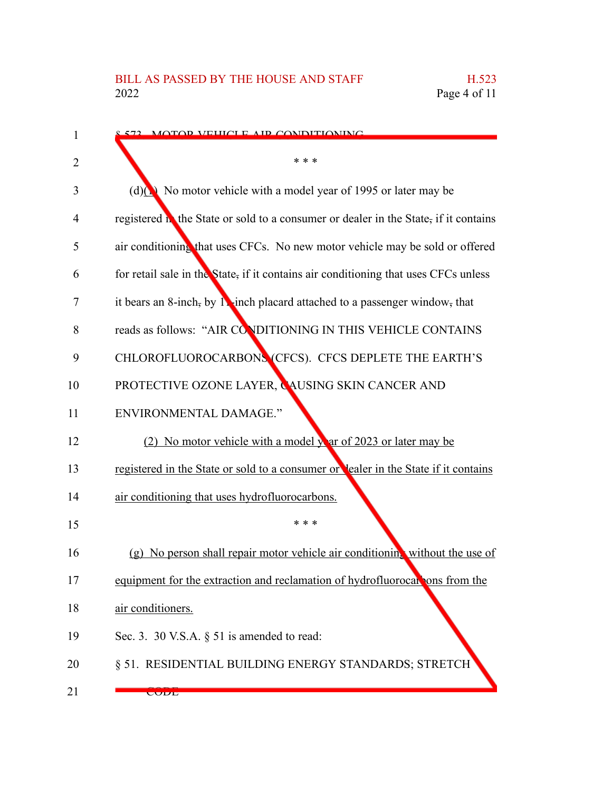| 1  | 572 MOTOR VEHICLE AIR CONDITIONING                                                   |
|----|--------------------------------------------------------------------------------------|
| 2  | * * *                                                                                |
| 3  | (d)(b) No motor vehicle with a model year of 1995 or later may be                    |
| 4  | registered in the State or sold to a consumer or dealer in the State, if it contains |
| 5  | air conditioning that uses CFCs. No new motor vehicle may be sold or offered         |
| 6  | for retail sale in the State, if it contains air conditioning that uses CFCs unless  |
| 7  | it bears an 8-inch, by 12-inch placard attached to a passenger window, that          |
| 8  | reads as follows: "AIR CONDITIONING IN THIS VEHICLE CONTAINS                         |
| 9  | CHLOROFLUOROCARBONS (CFCS). CFCS DEPLETE THE EARTH'S                                 |
| 10 | PROTECTIVE OZONE LAYER, CAUSING SKIN CANCER AND                                      |
| 11 | <b>ENVIRONMENTAL DAMAGE."</b>                                                        |
| 12 | (2) No motor vehicle with a model year of 2023 or later may be                       |
| 13 | registered in the State or sold to a consumer or lealer in the State if it contains  |
| 14 | air conditioning that uses hydrofluorocarbons.                                       |
| 15 | * * *                                                                                |
| 16 | (g) No person shall repair motor vehicle air conditioning without the use of         |
| 17 | equipment for the extraction and reclamation of hydrofluorocal ons from the          |
| 18 | air conditioners.                                                                    |
| 19 | Sec. 3. 30 V.S.A. $\S$ 51 is amended to read:                                        |
| 20 | § 51. RESIDENTIAL BUILDING ENERGY STANDARDS; STRETCH                                 |
| 21 | <b>CODL</b>                                                                          |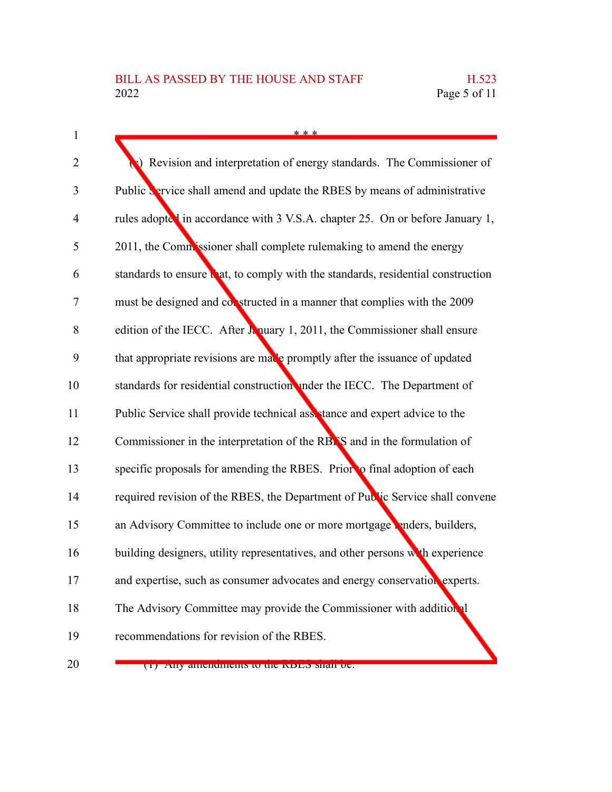| $\mathbf{1}$   | * * *                                                                             |
|----------------|-----------------------------------------------------------------------------------|
| $\overline{2}$ | Revision and interpretation of energy standards. The Commissioner of              |
| 3              | Public <b>Service</b> shall amend and update the RBES by means of administrative  |
| 4              | rules adopted in accordance with 3 V.S.A. chapter 25. On or before January 1,     |
| 5              | 2011, the Commissioner shall complete rulemaking to amend the energy              |
| 6              | standards to ensure that, to comply with the standards, residential construction  |
| 7              | must be designed and constructed in a manner that complies with the 2009          |
| 8              | edition of the IECC. After $\lambda$ nuary 1, 2011, the Commissioner shall ensure |
| 9              | that appropriate revisions are made promptly after the issuance of updated        |
| 10             | standards for residential construction under the IECC. The Department of          |
| 11             | Public Service shall provide technical assistance and expert advice to the        |
| 12             | Commissioner in the interpretation of the RBNS and in the formulation of          |
| 13             | specific proposals for amending the RBES. Prior to final adoption of each         |
| 14             | required revision of the RBES, the Department of Public Service shall convene     |
| 15             | an Advisory Committee to include one or more mortgage renders, builders,          |
| 16             | building designers, utility representatives, and other persons with experience    |
| 17             | and expertise, such as consumer advocates and energy conservation experts.        |
| 18             | The Advisory Committee may provide the Commissioner with additional               |
| 19             | recommendations for revision of the RBES.                                         |
| 20             | (1) Any amendments to the KDLS shall be.                                          |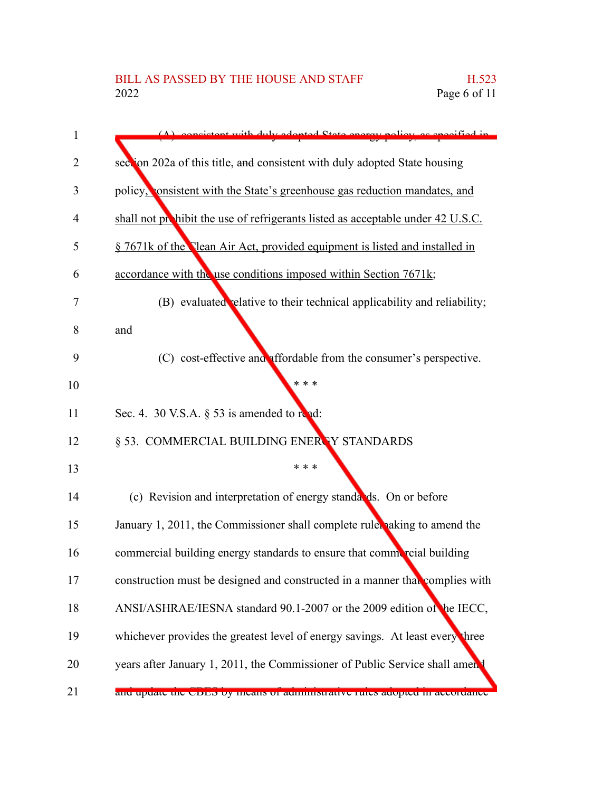| 1  | consistent with duly adopted State energy policy as specified in                |
|----|---------------------------------------------------------------------------------|
| 2  | section 202a of this title, and consistent with duly adopted State housing      |
| 3  | policy, consistent with the State's greenhouse gas reduction mandates, and      |
| 4  | shall not prohibit the use of refrigerants listed as acceptable under 42 U.S.C. |
| 5  | § 7671k of the Clean Air Act, provided equipment is listed and installed in     |
| 6  | accordance with the use conditions imposed within Section 7671k;                |
| 7  | (B) evaluated relative to their technical applicability and reliability;        |
| 8  | and                                                                             |
| 9  | (C) cost-effective and affordable from the consumer's perspective.              |
| 10 | * * *                                                                           |
| 11 | Sec. 4. 30 V.S.A. $\S$ 53 is amended to read:                                   |
| 12 | § 53. COMMERCIAL BUILDING ENERTY STANDARDS                                      |
| 13 | * * *                                                                           |
| 14 | (c) Revision and interpretation of energy standards. On or before               |
| 15 | January 1, 2011, the Commissioner shall complete ruler aking to amend the       |
| 16 | commercial building energy standards to ensure that commercial building         |
| 17 | construction must be designed and constructed in a manner that complies with    |
| 18 | ANSI/ASHRAE/IESNA standard 90.1-2007 or the 2009 edition of the IECC,           |
| 19 | whichever provides the greatest level of energy savings. At least every three   |
| 20 | years after January 1, 2011, the Commissioner of Public Service shall ament     |
| 21 | and update the CDES by means or administrative rules adopted in accordance      |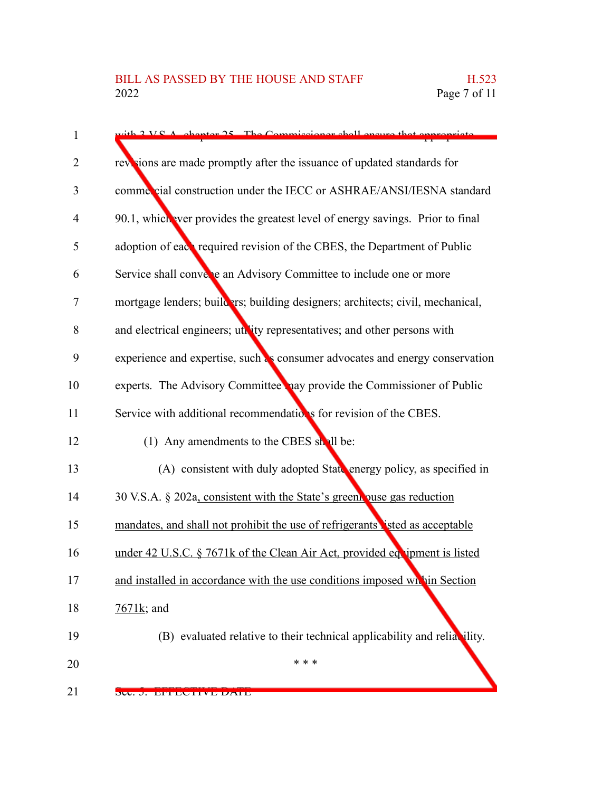| $\mathbf{1}$ | $\pm h$ 2 V.S.A, chapter 25. The Commissioner shall ensure that appropriate    |
|--------------|--------------------------------------------------------------------------------|
| 2            | revisions are made promptly after the issuance of updated standards for        |
| 3            | commercial construction under the IECC or ASHRAE/ANSI/IESNA standard           |
| 4            | 90.1, which ever provides the greatest level of energy savings. Prior to final |
| 5            | adoption of each required revision of the CBES, the Department of Public       |
| 6            | Service shall converte an Advisory Committee to include one or more            |
| 7            | mortgage lenders; builders; building designers; architects; civil, mechanical, |
| 8            | and electrical engineers; utility representatives; and other persons with      |
| 9            | experience and expertise, such as consumer advocates and energy conservation   |
| 10           | experts. The Advisory Committee hay provide the Commissioner of Public         |
| 11           | Service with additional recommendations for revision of the CBES.              |
| 12           | (1) Any amendments to the CBES shall be:                                       |
| 13           | (A) consistent with duly adopted State energy policy, as specified in          |
| 14           | 30 V.S.A. § 202a, consistent with the State's greent puse gas reduction        |
| 15           | mandates, and shall not prohibit the use of refrigerants isted as acceptable   |
| 16           | under 42 U.S.C. § 7671k of the Clean Air Act, provided equipment is listed     |
| 17           | and installed in accordance with the use conditions imposed whin Section       |
| 18           | $7671k$ ; and                                                                  |
| 19           | (B) evaluated relative to their technical applicability and reliability.       |
| 20           | * * *                                                                          |
| 21           | SU. J. EITEUIIVE DAIE                                                          |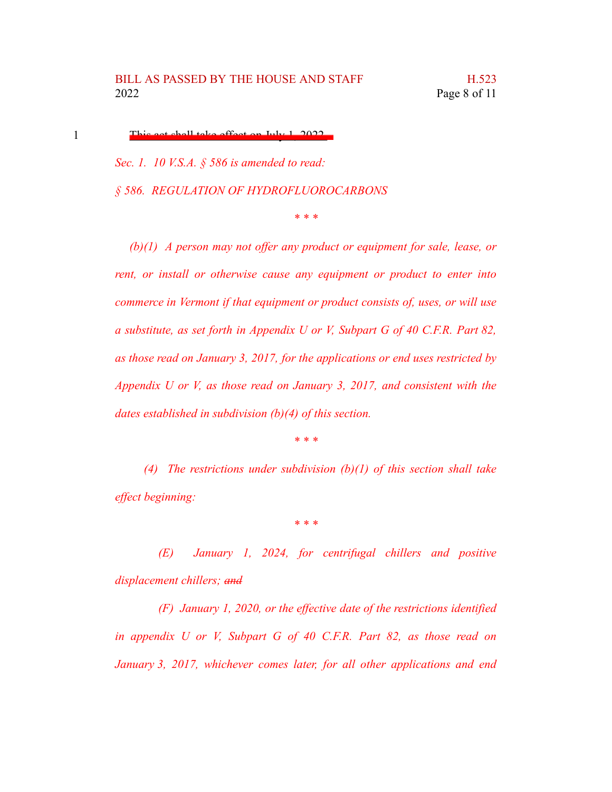This act shall take effect on July 1, 2022.

1

*Sec. 1. 10 V.S.A. § 586 is amended to read: § 586. REGULATION OF HYDROFLUOROCARBONS*

*\* \* \**

*(b)(1) A person may not offer any product or equipment for sale, lease, or rent, or install or otherwise cause any equipment or product to enter into commerce in Vermont if that equipment or product consists of, uses, or will use a substitute, as set forth in Appendix U or V, Subpart G of 40 C.F.R. Part 82, as those read on January 3, 2017, for the applications or end uses restricted by Appendix U or V, as those read on January 3, 2017, and consistent with the dates established in subdivision (b)(4) of this section.*

*\* \* \**

*(4) The restrictions under subdivision (b)(1) of this section shall take effect beginning:*

*\* \* \**

*(E) January 1, 2024, for centrifugal chillers and positive displacement chillers; and*

*(F) January 1, 2020, or the effective date of the restrictions identified in appendix U or V, Subpart G of 40 C.F.R. Part 82, as those read on January 3, 2017, whichever comes later, for all other applications and end*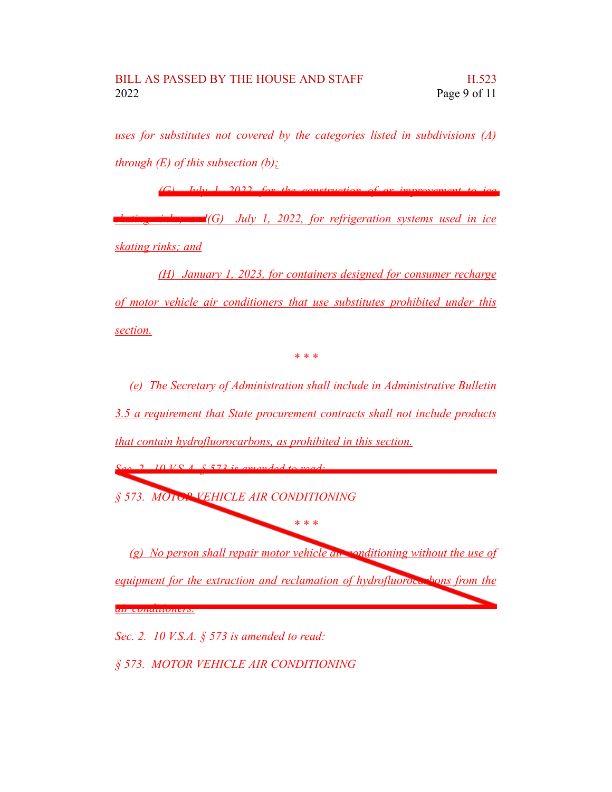*uses for substitutes not covered by the categories listed in subdivisions (A) through (E) of this subsection (b);*

*(G) July 1, 2022, for the construction of or improvement to ice skating rinks; and(G) July 1, 2022, for refrigeration systems used in ice skating rinks; and*

*(H) January 1, 2023, for containers designed for consumer recharge of motor vehicle air conditioners that use substitutes prohibited under this section.*

*\* \* \**

*(e) The Secretary of Administration shall include in Administrative Bulletin 3.5 a requirement that State procurement contracts shall not include products that contain hydrofluorocarbons, as prohibited in this section.*

*Sec. 2. 10 V.S.A. § 573 is amended to read: § 573. MOTOR VEHICLE AIR CONDITIONING \* \* \* (g) No person shall repair motor vehicle air conditioning without the use of equipment for the extraction and reclamation of hydrofluorocarbons from the air conditioners.*

*Sec. 2. 10 V.S.A. § 573 is amended to read:*

*§ 573. MOTOR VEHICLE AIR CONDITIONING*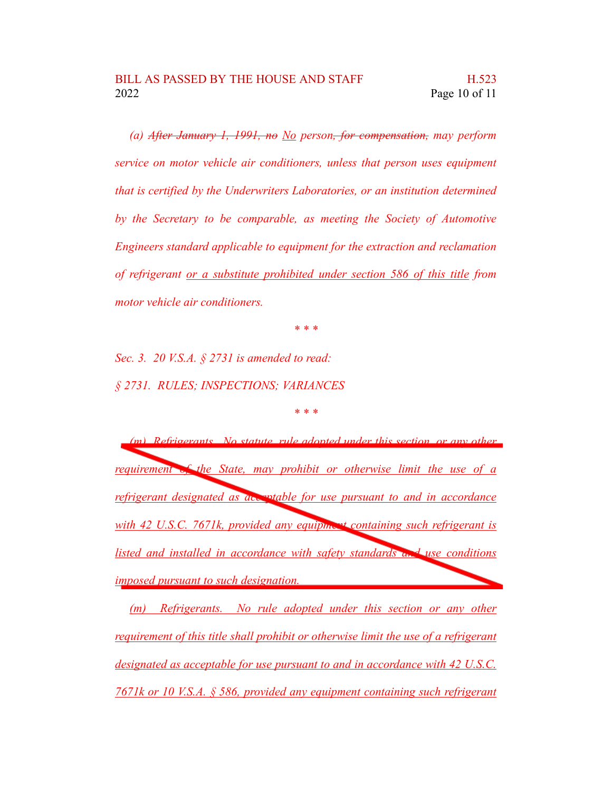*(a) After January 1, 1991, no No person, for compensation, may perform service on motor vehicle air conditioners, unless that person uses equipment that is certified by the Underwriters Laboratories, or an institution determined by the Secretary to be comparable, as meeting the Society of Automotive Engineers standard applicable to equipment for the extraction and reclamation of refrigerant or a substitute prohibited under section 586 of this title from motor vehicle air conditioners.*

*\* \* \**

*Sec. 3. 20 V.S.A. § 2731 is amended to read: § 2731. RULES; INSPECTIONS; VARIANCES*

*\* \* \**

*(m) Refrigerants. No statute, rule adopted under this section, or any other requirement of the State, may prohibit or otherwise limit the use of a refrigerant designated as acceptable for use pursuant to and in accordance with 42 U.S.C. 7671k, provided any equipment containing such refrigerant is listed and installed in accordance with safety standards and use conditions imposed pursuant to such designation.*

*(m) Refrigerants. No rule adopted under this section or any other requirement of this title shall prohibit or otherwise limit the use of a refrigerant designated as acceptable for use pursuant to and in accordance with 42 U.S.C. 7671k or 10 V.S.A. § 586, provided any equipment containing such refrigerant*